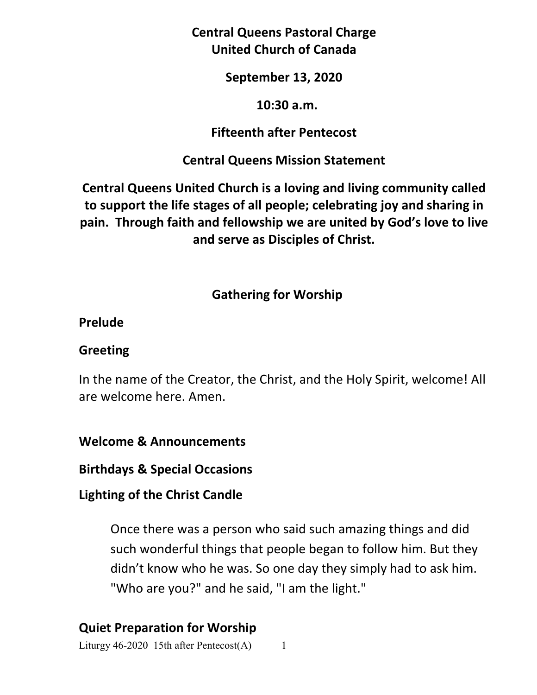**Central Queens Pastoral Charge United Church of Canada** 

### **September 13, 2020**

### **10:30 a.m.**

# **Fifteenth after Pentecost**

# **Central Queens Mission Statement**

**Central Queens United Church is a loving and living community called to support the life stages of all people; celebrating joy and sharing in pain. Through faith and fellowship we are united by God's love to live and serve as Disciples of Christ.**

# **Gathering for Worship**

## **Prelude**

## **Greeting**

In the name of the Creator, the Christ, and the Holy Spirit, welcome! All are welcome here. Amen.

# **Welcome & Announcements**

# **Birthdays & Special Occasions**

# **Lighting of the Christ Candle**

Once there was a person who said such amazing things and did such wonderful things that people began to follow him. But they didn't know who he was. So one day they simply had to ask him. "Who are you?" and he said, "I am the light."

# **Quiet Preparation for Worship**

Liturgy  $46-2020$  15th after Pentecost $(A)$  1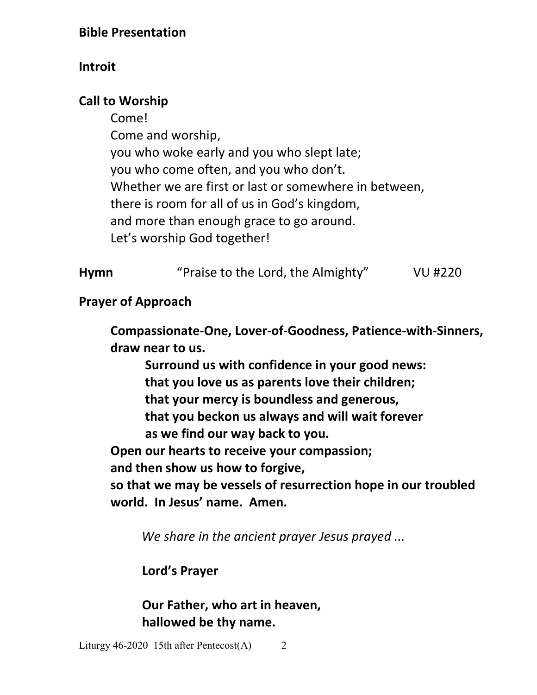# **Bible Presentation**

# **Introit**

# **Call to Worship**

 Come! Come and worship, you who woke early and you who slept late; you who come often, and you who don't. Whether we are first or last or somewhere in between, there is room for all of us in God's kingdom, and more than enough grace to go around. Let's worship God together!

| "Praise to the Lord, the Almighty"<br><b>Hymn</b> | VU #220 |
|---------------------------------------------------|---------|
|---------------------------------------------------|---------|

# **Prayer of Approach**

**Compassionate-One, Lover-of-Goodness, Patience-with-Sinners, draw near to us.** 

 **Surround us with confidence in your good news: that you love us as parents love their children; that your mercy is boundless and generous, that you beckon us always and will wait forever as we find our way back to you.** 

 **Open our hearts to receive your compassion;** 

 **and then show us how to forgive,** 

 **so that we may be vessels of resurrection hope in our troubled world. In Jesus' name. Amen.** 

*We share in the ancient prayer Jesus prayed ...*

 **Lord's Prayer** 

 **Our Father, who art in heaven, hallowed be thy name.**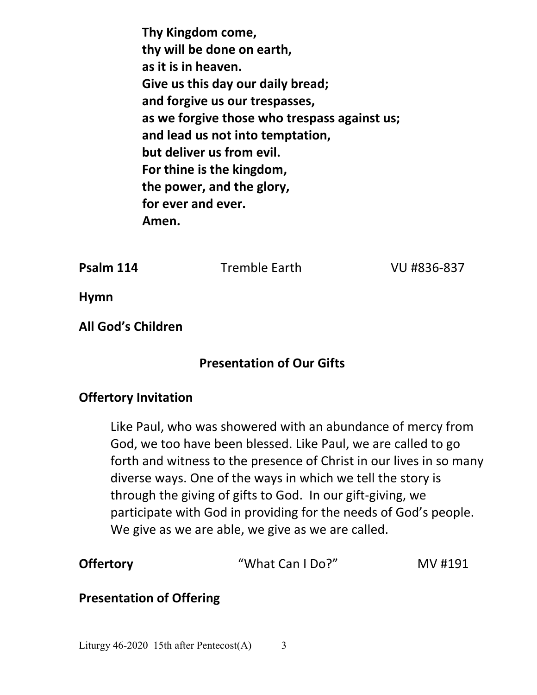**Thy Kingdom come, thy will be done on earth, as it is in heaven. Give us this day our daily bread; and forgive us our trespasses, as we forgive those who trespass against us; and lead us not into temptation, but deliver us from evil. For thine is the kingdom, the power, and the glory, for ever and ever. Amen.** 

**Psalm 114 Tremble Farth** VU #836-837

**Hymn**

**All God's Children** 

# **Presentation of Our Gifts**

## **Offertory Invitation**

Like Paul, who was showered with an abundance of mercy from God, we too have been blessed. Like Paul, we are called to go forth and witness to the presence of Christ in our lives in so many diverse ways. One of the ways in which we tell the story is through the giving of gifts to God. In our gift-giving, we participate with God in providing for the needs of God's people. We give as we are able, we give as we are called.

| <b>Offertory</b> | "What Can I Do?" | MV #191 |
|------------------|------------------|---------|
|------------------|------------------|---------|

## **Presentation of Offering**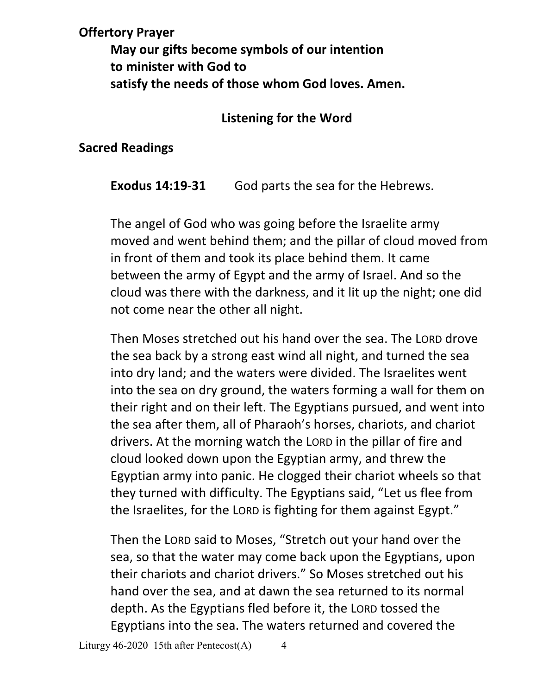# **Offertory Prayer May our gifts become symbols of our intention to minister with God to satisfy the needs of those whom God loves. Amen.**

## **Listening for the Word**

## **Sacred Readings**

 **Exodus 14:19-31** God parts the sea for the Hebrews.

 The angel of God who was going before the Israelite army moved and went behind them; and the pillar of cloud moved from in front of them and took its place behind them. It came between the army of Egypt and the army of Israel. And so the cloud was there with the darkness, and it lit up the night; one did not come near the other all night.

Then Moses stretched out his hand over the sea. The LORD drove the sea back by a strong east wind all night, and turned the sea into dry land; and the waters were divided. The Israelites went into the sea on dry ground, the waters forming a wall for them on their right and on their left. The Egyptians pursued, and went into the sea after them, all of Pharaoh's horses, chariots, and chariot drivers. At the morning watch the LORD in the pillar of fire and cloud looked down upon the Egyptian army, and threw the Egyptian army into panic. He clogged their chariot wheels so that they turned with difficulty. The Egyptians said, "Let us flee from the Israelites, for the LORD is fighting for them against Egypt."

Then the LORD said to Moses, "Stretch out your hand over the sea, so that the water may come back upon the Egyptians, upon their chariots and chariot drivers." So Moses stretched out his hand over the sea, and at dawn the sea returned to its normal depth. As the Egyptians fled before it, the LORD tossed the Egyptians into the sea. The waters returned and covered the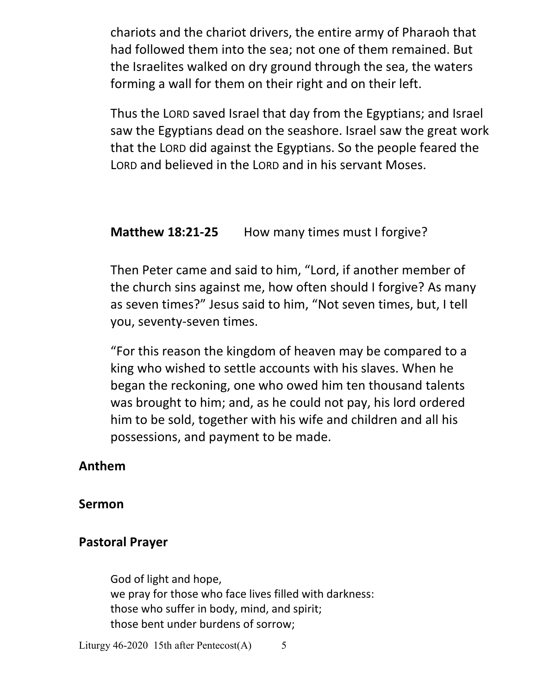chariots and the chariot drivers, the entire army of Pharaoh that had followed them into the sea; not one of them remained. But the Israelites walked on dry ground through the sea, the waters forming a wall for them on their right and on their left.

Thus the LORD saved Israel that day from the Egyptians; and Israel saw the Egyptians dead on the seashore. Israel saw the great work that the LORD did against the Egyptians. So the people feared the LORD and believed in the LORD and in his servant Moses.

### **Matthew 18:21-25** How many times must I forgive?

 Then Peter came and said to him, "Lord, if another member of the church sins against me, how often should I forgive? As many as seven times?" Jesus said to him, "Not seven times, but, I tell you, seventy-seven times.

"For this reason the kingdom of heaven may be compared to a king who wished to settle accounts with his slaves. When he began the reckoning, one who owed him ten thousand talents was brought to him; and, as he could not pay, his lord ordered him to be sold, together with his wife and children and all his possessions, and payment to be made.

### **Anthem**

### **Sermon**

### **Pastoral Prayer**

 God of light and hope, we pray for those who face lives filled with darkness: those who suffer in body, mind, and spirit; those bent under burdens of sorrow;

Liturgy  $46-2020$  15th after Pentecost $(A)$  5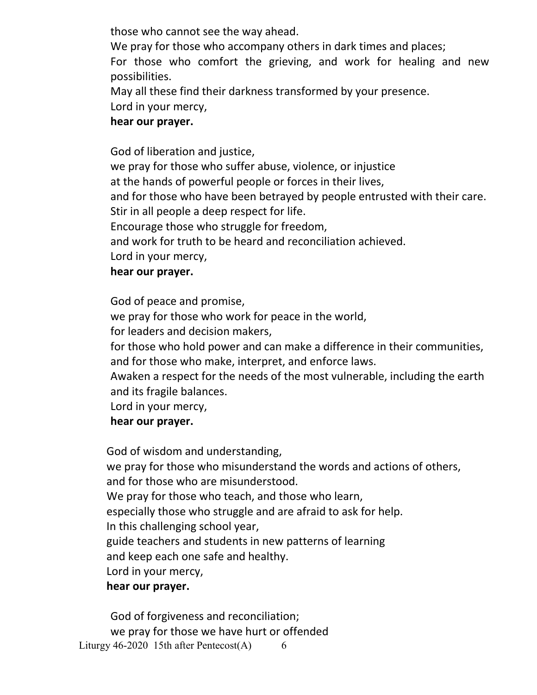those who cannot see the way ahead.

We pray for those who accompany others in dark times and places;

 For those who comfort the grieving, and work for healing and new possibilities.

May all these find their darkness transformed by your presence.

Lord in your mercy,

### **hear our prayer.**

God of liberation and justice,

 we pray for those who suffer abuse, violence, or injustice at the hands of powerful people or forces in their lives, and for those who have been betrayed by people entrusted with their care. Stir in all people a deep respect for life. Encourage those who struggle for freedom, and work for truth to be heard and reconciliation achieved. Lord in your mercy,

# **hear our prayer.**

God of peace and promise,

we pray for those who work for peace in the world,

for leaders and decision makers,

 for those who hold power and can make a difference in their communities, and for those who make, interpret, and enforce laws.

 Awaken a respect for the needs of the most vulnerable, including the earth and its fragile balances.

Lord in your mercy,

## **hear our prayer.**

God of wisdom and understanding,

 we pray for those who misunderstand the words and actions of others, and for those who are misunderstood.

We pray for those who teach, and those who learn,

especially those who struggle and are afraid to ask for help.

In this challenging school year,

guide teachers and students in new patterns of learning

and keep each one safe and healthy.

Lord in your mercy,

## **hear our prayer.**

Liturgy  $46-2020$  15th after Pentecost(A) 6 God of forgiveness and reconciliation; we pray for those we have hurt or offended